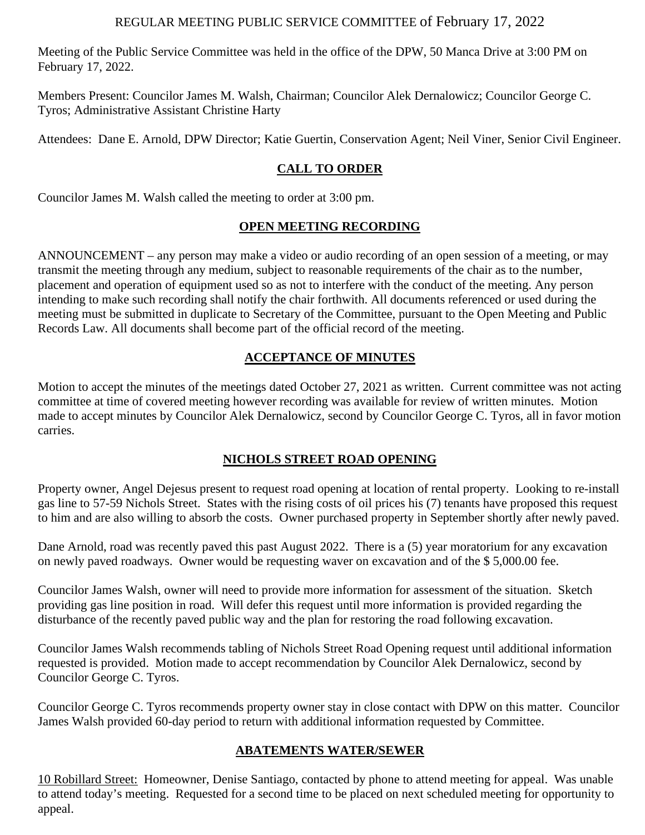### REGULAR MEETING PUBLIC SERVICE COMMITTEE of February 17, 2022

Meeting of the Public Service Committee was held in the office of the DPW, 50 Manca Drive at 3:00 PM on February 17, 2022.

Members Present: Councilor James M. Walsh, Chairman; Councilor Alek Dernalowicz; Councilor George C. Tyros; Administrative Assistant Christine Harty

Attendees: Dane E. Arnold, DPW Director; Katie Guertin, Conservation Agent; Neil Viner, Senior Civil Engineer.

# **CALL TO ORDER**

Councilor James M. Walsh called the meeting to order at 3:00 pm.

### **OPEN MEETING RECORDING**

ANNOUNCEMENT – any person may make a video or audio recording of an open session of a meeting, or may transmit the meeting through any medium, subject to reasonable requirements of the chair as to the number, placement and operation of equipment used so as not to interfere with the conduct of the meeting. Any person intending to make such recording shall notify the chair forthwith. All documents referenced or used during the meeting must be submitted in duplicate to Secretary of the Committee, pursuant to the Open Meeting and Public Records Law. All documents shall become part of the official record of the meeting.

# **ACCEPTANCE OF MINUTES**

Motion to accept the minutes of the meetings dated October 27, 2021 as written. Current committee was not acting committee at time of covered meeting however recording was available for review of written minutes. Motion made to accept minutes by Councilor Alek Dernalowicz, second by Councilor George C. Tyros, all in favor motion carries.

### **NICHOLS STREET ROAD OPENING**

Property owner, Angel Dejesus present to request road opening at location of rental property. Looking to re-install gas line to 57-59 Nichols Street. States with the rising costs of oil prices his (7) tenants have proposed this request to him and are also willing to absorb the costs. Owner purchased property in September shortly after newly paved.

Dane Arnold, road was recently paved this past August 2022. There is a (5) year moratorium for any excavation on newly paved roadways. Owner would be requesting waver on excavation and of the \$ 5,000.00 fee.

Councilor James Walsh, owner will need to provide more information for assessment of the situation. Sketch providing gas line position in road. Will defer this request until more information is provided regarding the disturbance of the recently paved public way and the plan for restoring the road following excavation.

Councilor James Walsh recommends tabling of Nichols Street Road Opening request until additional information requested is provided. Motion made to accept recommendation by Councilor Alek Dernalowicz, second by Councilor George C. Tyros.

Councilor George C. Tyros recommends property owner stay in close contact with DPW on this matter. Councilor James Walsh provided 60-day period to return with additional information requested by Committee.

# **ABATEMENTS WATER/SEWER**

10 Robillard Street: Homeowner, Denise Santiago, contacted by phone to attend meeting for appeal. Was unable to attend today's meeting. Requested for a second time to be placed on next scheduled meeting for opportunity to appeal.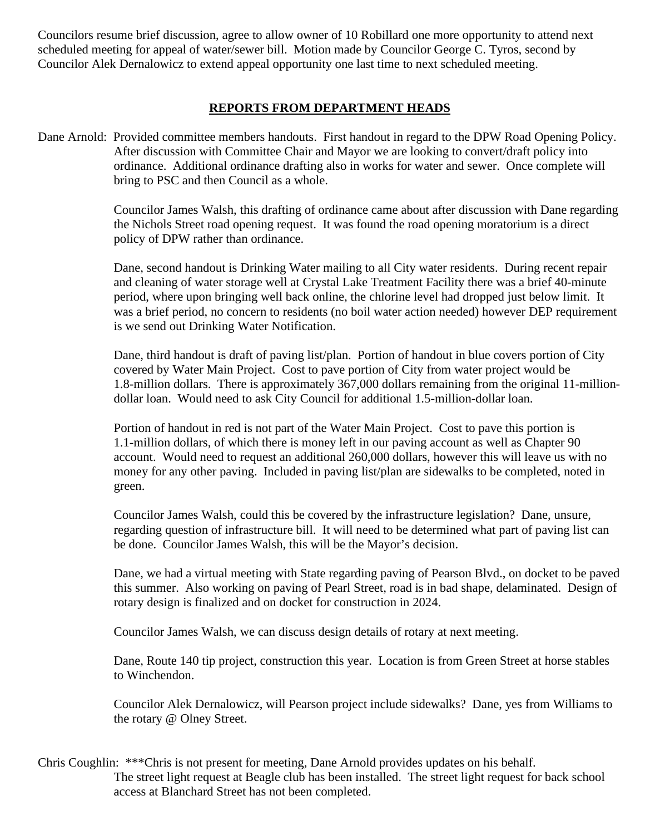Councilors resume brief discussion, agree to allow owner of 10 Robillard one more opportunity to attend next scheduled meeting for appeal of water/sewer bill. Motion made by Councilor George C. Tyros, second by Councilor Alek Dernalowicz to extend appeal opportunity one last time to next scheduled meeting.

#### **REPORTS FROM DEPARTMENT HEADS**

Dane Arnold: Provided committee members handouts. First handout in regard to the DPW Road Opening Policy. After discussion with Committee Chair and Mayor we are looking to convert/draft policy into ordinance. Additional ordinance drafting also in works for water and sewer. Once complete will bring to PSC and then Council as a whole.

> Councilor James Walsh, this drafting of ordinance came about after discussion with Dane regarding the Nichols Street road opening request. It was found the road opening moratorium is a direct policy of DPW rather than ordinance.

> Dane, second handout is Drinking Water mailing to all City water residents. During recent repair and cleaning of water storage well at Crystal Lake Treatment Facility there was a brief 40-minute period, where upon bringing well back online, the chlorine level had dropped just below limit. It was a brief period, no concern to residents (no boil water action needed) however DEP requirement is we send out Drinking Water Notification.

> Dane, third handout is draft of paving list/plan. Portion of handout in blue covers portion of City covered by Water Main Project. Cost to pave portion of City from water project would be 1.8-million dollars. There is approximately 367,000 dollars remaining from the original 11-milliondollar loan. Would need to ask City Council for additional 1.5-million-dollar loan.

Portion of handout in red is not part of the Water Main Project. Cost to pave this portion is 1.1-million dollars, of which there is money left in our paving account as well as Chapter 90 account. Would need to request an additional 260,000 dollars, however this will leave us with no money for any other paving. Included in paving list/plan are sidewalks to be completed, noted in green.

Councilor James Walsh, could this be covered by the infrastructure legislation? Dane, unsure, regarding question of infrastructure bill. It will need to be determined what part of paving list can be done. Councilor James Walsh, this will be the Mayor's decision.

Dane, we had a virtual meeting with State regarding paving of Pearson Blvd., on docket to be paved this summer. Also working on paving of Pearl Street, road is in bad shape, delaminated. Design of rotary design is finalized and on docket for construction in 2024.

Councilor James Walsh, we can discuss design details of rotary at next meeting.

Dane, Route 140 tip project, construction this year. Location is from Green Street at horse stables to Winchendon.

Councilor Alek Dernalowicz, will Pearson project include sidewalks? Dane, yes from Williams to the rotary @ Olney Street.

Chris Coughlin: \*\*\*Chris is not present for meeting, Dane Arnold provides updates on his behalf. The street light request at Beagle club has been installed. The street light request for back school access at Blanchard Street has not been completed.